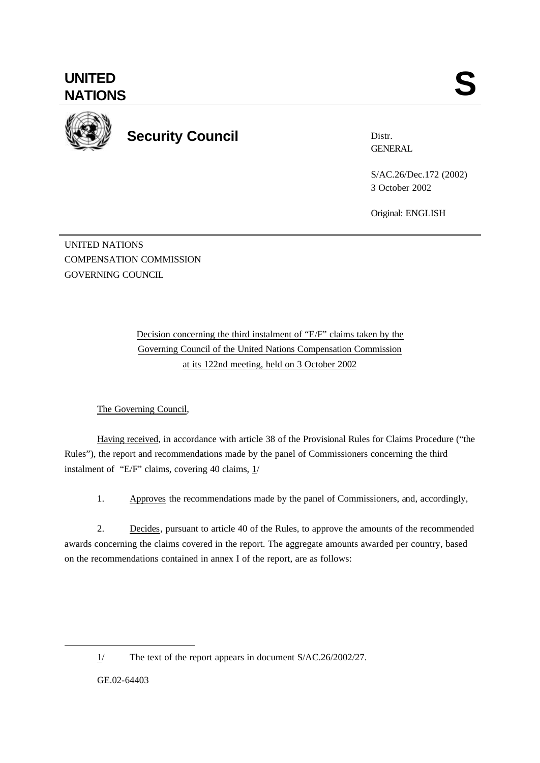

**Security Council**

Distr. **GENERAL** 

S/AC.26/Dec.172 (2002) 3 October 2002

Original: ENGLISH

UNITED NATIONS COMPENSATION COMMISSION GOVERNING COUNCIL

> Decision concerning the third instalment of "E/F" claims taken by the Governing Council of the United Nations Compensation Commission at its 122nd meeting, held on 3 October 2002

## The Governing Council,

Having received, in accordance with article 38 of the Provisional Rules for Claims Procedure ("the Rules"), the report and recommendations made by the panel of Commissioners concerning the third instalment of "E/F" claims, covering 40 claims,  $1/$ 

1. Approves the recommendations made by the panel of Commissioners, and, accordingly,

2. Decides, pursuant to article 40 of the Rules, to approve the amounts of the recommended awards concerning the claims covered in the report. The aggregate amounts awarded per country, based on the recommendations contained in annex I of the report, are as follows:

GE.02-64403

l

<sup>1/</sup> The text of the report appears in document S/AC.26/2002/27.